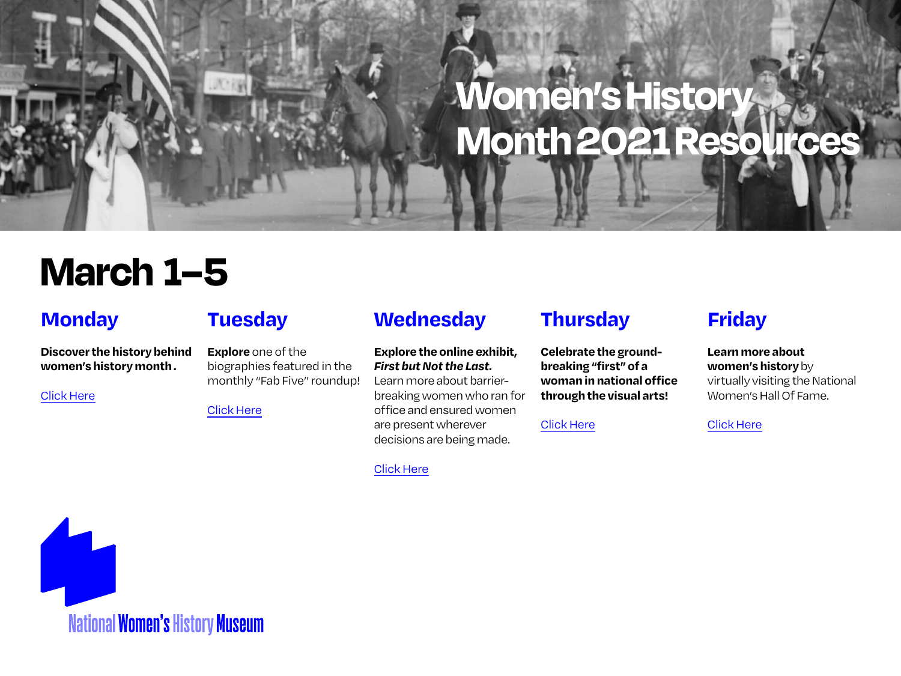# **March 1–5**

#### **Monday**

**Discover the history behind women's history month .**

[Click Here](https://www.womenshistory.org/womens-history/womens-history-month)

## **Tuesday**

**Explore** one of the biographies featured in the monthly "Fab Five" roundup!

[Click Here](https://www.womenshistory.org/womens-history/fab-five)

### **Wednesday**

#### **Explore the online exhibit,**  *First but Not the Last***.**

Learn more about barrierbreaking women who ran for office and ensured women are present wherever decisions are being made.

#### [Click Here](https://www.womenshistory.org/exhibits/first-not-last)

## **Thursday**

**Celebrate the groundbreaking "first" of a woman in national office through the visual arts!**

[Click Here](https://www.youtube.com/watch?v=6uRCGeKJdbM&t=2s)

## **Friday**

#### **Learn more about women's history** by virtually visiting the National Women's Hall Of Fame.

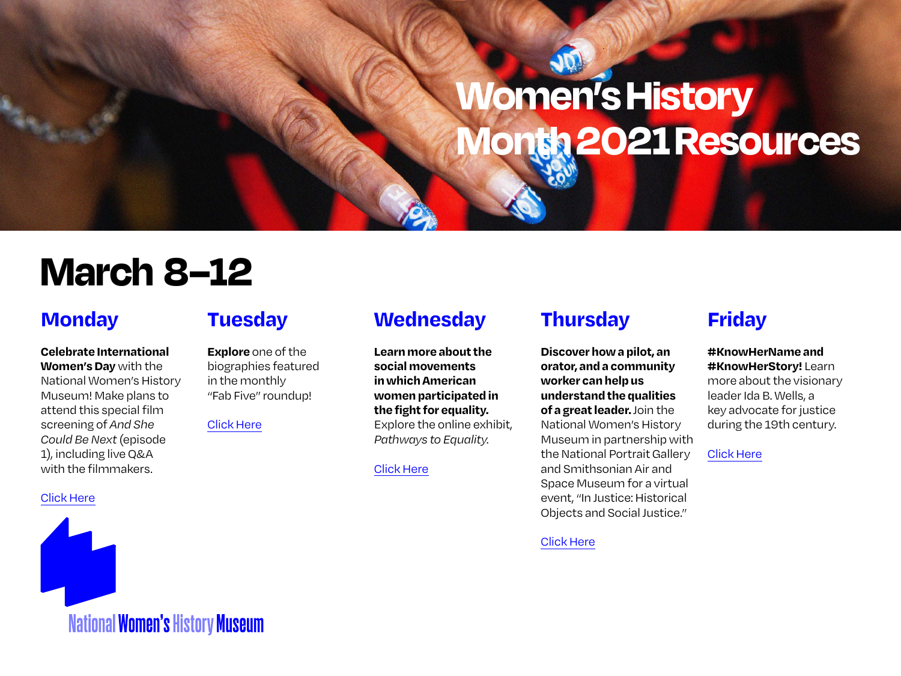# **March 8–12**

### **Monday**

**Celebrate International Women's Day** with the National Women's History Museum! Make plans to attend this special film screening of *And She Could Be Next* (episode 1), including live Q&A with the filmmakers.

[Click Here](https://www.eventbrite.com/e/nwhm-presents-and-she-could-be-next-film-screening-episode-1-tickets-140420586755)



### **Tuesday**

**Explore** one of the biographies featured in the monthly "Fab Five" roundup!

[Click Here](https://www.womenshistory.org/womens-history/fab-five)

#### **Wednesday**

**Learn more about the social movements in which American women participated in the fight for equality.**  Explore the online exhibit, *Pathways to Equality*.

#### [Click Here](https://www.womenshistory.org/exhibits/pathways-equality)

### **Thursday**

**Discover how a pilot, an orator, and a community worker can help us understand the qualities of a great leader.** Join the National Women's History Museum in partnership with the National Portrait Gallery and Smithsonian Air and Space Museum for a virtual event, "In Justice: Historical Objects and Social Justice."

#### [Click Here](https://www.eventbrite.com/e/in-dialogue-smithsonian-objects-and-social-justice-tickets-137887997713)

### **Friday**

#### **#KnowHerName and #KnowHerStory!** Learn

more about the visionary leader Ida B. Wells, a key advocate for justice during the 19th century.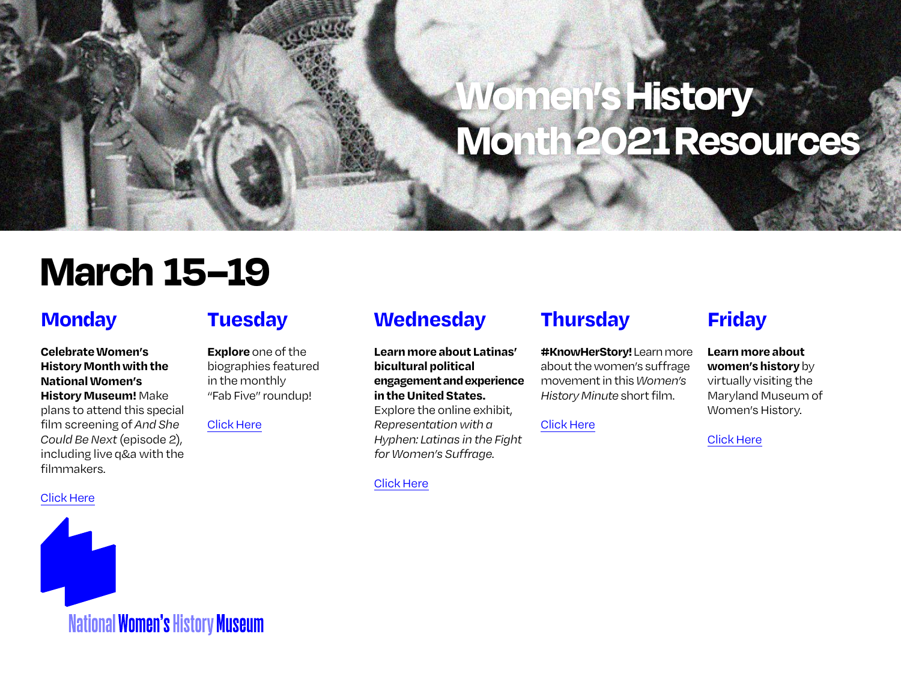# **March 15–19**

#### **Monday**

**CelebrateWomen's History Month with the National Women's History Museum!** Make plans to attend this special film screening of *And She Could Be Next* (episode 2), including live q&a with the filmmakers.

[Click Here](https://www.eventbrite.com/e/nwhm-presents-and-she-could-be-next-film-screening-episode-2-tickets-140422664971)



### **Tuesday**

**Explore** one of the biographies featured in the monthly "Fab Five" roundup!

[Click Here](https://www.womenshistory.org/womens-history/fab-five)

### **Wednesday**

**Learn more about Latinas' bicultural political engagement and experience in the United States.**  Explore the online exhibit, *Representation with a Hyphen: Latinas in the Fight for Women's Suffrage*.

[Click Here](https://www.womenshistory.org/exhibits/representation-hyphen-latinas-fight-womens-suffrage)

## **Thursday**

**#KnowHerStory!** Learn more about the women's suffrage movement in this *Women's History Minute* short film.

[Click Here](https://www.youtube.com/watch?v=wf6Crq3dIsA)

## **Friday**

**Learn more about women's history** by virtually visiting the Maryland Museum of

Women's History.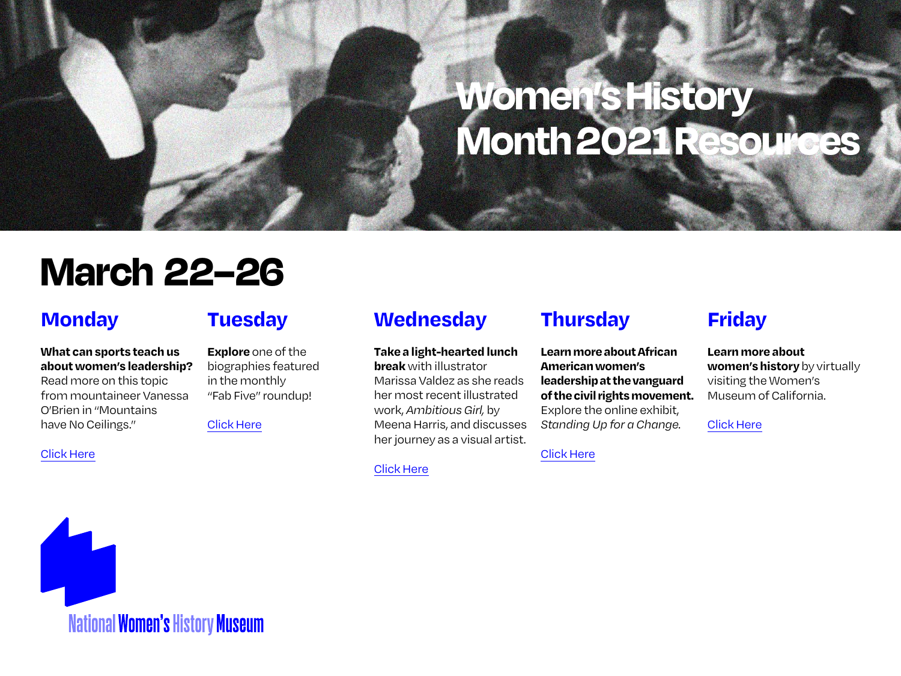## **March 22–26**

### **Monday**

#### **What can sports teach us about women's leadership?**

Read more on this topic from mountaineer Vanessa O'Brien in "Mountains have No Ceilings."

[Click Here](https://www.womenshistory.org/articles/mountains-have-no-ceilings)

### **Tuesday**

**Explore** one of the biographies featured in the monthly "Fab Five" roundup!

[Click Here](https://www.womenshistory.org/womens-history/fab-five)

#### **Wednesday**

**Take a light-hearted lunch break** with illustrator Marissa Valdez as she reads her most recent illustrated work,*Ambitious Girl,* by Meena Harris, and discusses her journey as a visual artist.

[Click Here](https://www.womenshistory.org/events)

## **Thursday**

**Learn more about African American women's leadership at the vanguard of the civil rights movement.** Explore the online exhibit, *Standing Up for a Change*.

[Click Here](https://www.womenshistory.org/exhibits/standing-up-for-change)

## **Friday**

**Learn more about women's history** by virtually visiting the Women's Museum of California.